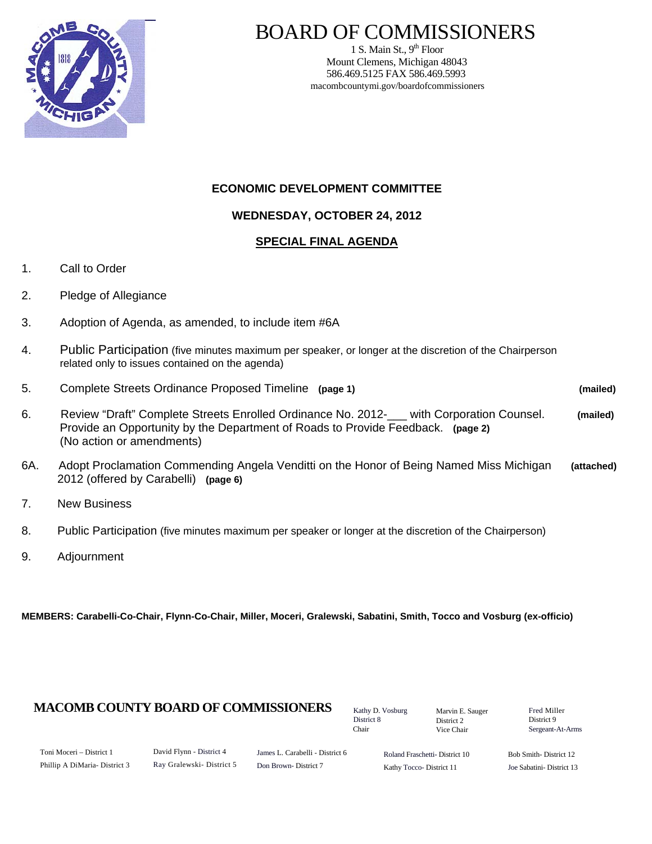

# BOARD OF COMMISSIONERS

1 S. Main St.,  $9<sup>th</sup>$  Floor Mount Clemens, Michigan 48043 586.469.5125 FAX 586.469.5993 macombcountymi.gov/boardofcommissioners

#### **ECONOMIC DEVELOPMENT COMMITTEE**

#### **WEDNESDAY, OCTOBER 24, 2012**

#### **SPECIAL FINAL AGENDA**

- 1. Call to Order
- 2. Pledge of Allegiance
- 3. Adoption of Agenda, as amended, to include item #6A
- 4. Public Participation (five minutes maximum per speaker, or longer at the discretion of the Chairperson related only to issues contained on the agenda)
- 5. Complete Streets Ordinance Proposed Timeline **(page 1) (mailed)**  6. Review "Draft" Complete Streets Enrolled Ordinance No. 2012-\_\_\_ with Corporation Counsel. **(mailed)**  Provide an Opportunity by the Department of Roads to Provide Feedback. **(page 2)**  (No action or amendments)
- 6A. Adopt Proclamation Commending Angela Venditti on the Honor of Being Named Miss Michigan **(attached)**  2012 (offered by Carabelli) **(page 6)**
- 7. New Business
- 8. Public Participation (five minutes maximum per speaker or longer at the discretion of the Chairperson)
- 9. Adjournment

**MEMBERS: Carabelli-Co-Chair, Flynn-Co-Chair, Miller, Moceri, Gralewski, Sabatini, Smith, Tocco and Vosburg (ex-officio)**

#### **MACOMB COUNTY BOARD OF COMMISSIONERS** Factor D. Vosburg Marvin F. Sauger Fred Miller

Kathy D. Vosburg District 8 Chair

Marvin E. Sauger District 2 Vice Chair

District 9 Sergeant-At-Arms

| Toni Moceri – District 1     |
|------------------------------|
| Phillip A DiMaria-District 3 |

James L. Carabelli - District 6 Don Brown- District 7

Roland Fraschetti- District 10 Kathy Tocco- District 11

Bob Smith- District 12 Joe Sabatini- District 13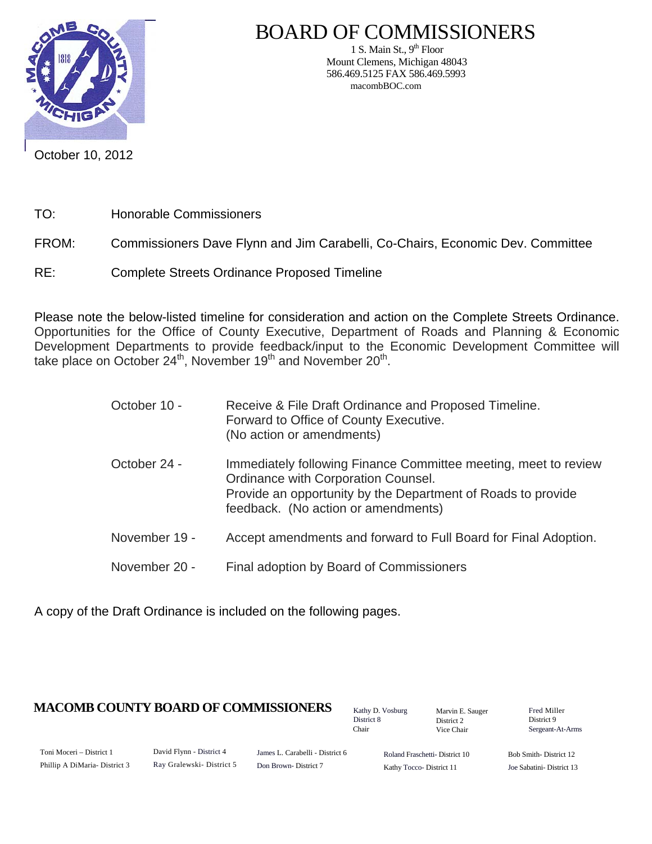

## BOARD OF COMMISSIONERS

1 S. Main St.,  $9<sup>th</sup>$  Floor Mount Clemens, Michigan 48043 586.469.5125 FAX 586.469.5993 macombBOC.com

October 10, 2012

- TO: Honorable Commissioners
- FROM: Commissioners Dave Flynn and Jim Carabelli, Co-Chairs, Economic Dev. Committee
- RE: Complete Streets Ordinance Proposed Timeline

Please note the below-listed timeline for consideration and action on the Complete Streets Ordinance. Opportunities for the Office of County Executive, Department of Roads and Planning & Economic Development Departments to provide feedback/input to the Economic Development Committee will take place on October 24<sup>th</sup>, November 19<sup>th</sup> and November 20<sup>th</sup>.

> October 10 - Receive & File Draft Ordinance and Proposed Timeline. Forward to Office of County Executive. (No action or amendments) October 24 - Immediately following Finance Committee meeting, meet to review Ordinance with Corporation Counsel. Provide an opportunity by the Department of Roads to provide feedback. (No action or amendments) November 19 - Accept amendments and forward to Full Board for Final Adoption. November 20 - Final adoption by Board of Commissioners

A copy of the Draft Ordinance is included on the following pages.

### **MACOMB COUNTY BOARD OF COMMISSIONERS** Fathy D. Vosburg Martin E. Square Fred Miller

Kathy D. Vosburg District 8 Chair

Marvin E. Sauger District 2 Vice Chair

District 9 Sergeant-At-Arms

Toni Moceri – District 1 Phillip A DiMaria- District 3 David Flynn - District 4 Ray Gralewski- District 5

James L. Carabelli - District 6 Don Brown- District 7

Roland Fraschetti- District 10 Kathy Tocco- District 11

Bob Smith- District 12 Joe Sabatini- District 13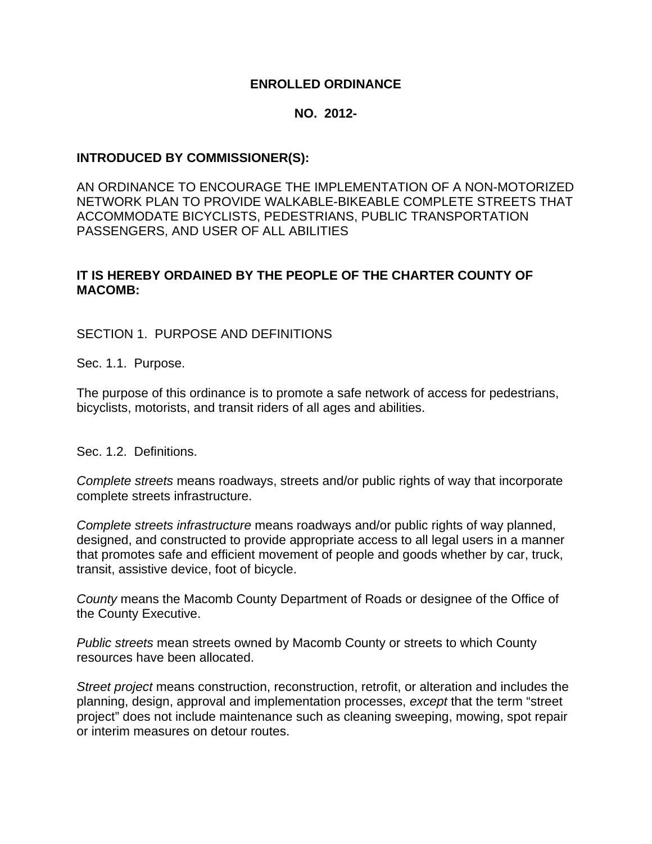#### **ENROLLED ORDINANCE**

#### **NO. 2012-**

#### **INTRODUCED BY COMMISSIONER(S):**

AN ORDINANCE TO ENCOURAGE THE IMPLEMENTATION OF A NON-MOTORIZED NETWORK PLAN TO PROVIDE WALKABLE-BIKEABLE COMPLETE STREETS THAT ACCOMMODATE BICYCLISTS, PEDESTRIANS, PUBLIC TRANSPORTATION PASSENGERS, AND USER OF ALL ABILITIES

#### **IT IS HEREBY ORDAINED BY THE PEOPLE OF THE CHARTER COUNTY OF MACOMB:**

SECTION 1. PURPOSE AND DEFINITIONS

Sec. 1.1. Purpose.

The purpose of this ordinance is to promote a safe network of access for pedestrians, bicyclists, motorists, and transit riders of all ages and abilities.

Sec. 1.2. Definitions.

*Complete streets* means roadways, streets and/or public rights of way that incorporate complete streets infrastructure.

*Complete streets infrastructure* means roadways and/or public rights of way planned, designed, and constructed to provide appropriate access to all legal users in a manner that promotes safe and efficient movement of people and goods whether by car, truck, transit, assistive device, foot of bicycle.

*County* means the Macomb County Department of Roads or designee of the Office of the County Executive.

*Public streets* mean streets owned by Macomb County or streets to which County resources have been allocated.

*Street project* means construction, reconstruction, retrofit, or alteration and includes the planning, design, approval and implementation processes, *except* that the term "street project" does not include maintenance such as cleaning sweeping, mowing, spot repair or interim measures on detour routes.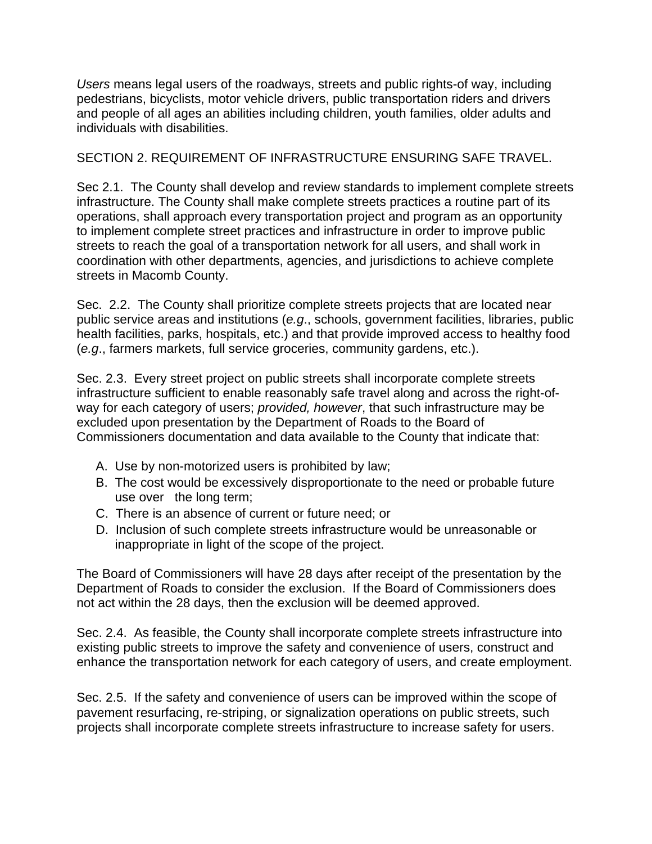*Users* means legal users of the roadways, streets and public rights-of way, including pedestrians, bicyclists, motor vehicle drivers, public transportation riders and drivers and people of all ages an abilities including children, youth families, older adults and individuals with disabilities.

### SECTION 2. REQUIREMENT OF INFRASTRUCTURE ENSURING SAFE TRAVEL.

Sec 2.1. The County shall develop and review standards to implement complete streets infrastructure. The County shall make complete streets practices a routine part of its operations, shall approach every transportation project and program as an opportunity to implement complete street practices and infrastructure in order to improve public streets to reach the goal of a transportation network for all users, and shall work in coordination with other departments, agencies, and jurisdictions to achieve complete streets in Macomb County.

Sec. 2.2. The County shall prioritize complete streets projects that are located near public service areas and institutions (*e.g*., schools, government facilities, libraries, public health facilities, parks, hospitals, etc.) and that provide improved access to healthy food (*e.g*., farmers markets, full service groceries, community gardens, etc.).

Sec. 2.3. Every street project on public streets shall incorporate complete streets infrastructure sufficient to enable reasonably safe travel along and across the right-ofway for each category of users; *provided, however*, that such infrastructure may be excluded upon presentation by the Department of Roads to the Board of Commissioners documentation and data available to the County that indicate that:

- A. Use by non-motorized users is prohibited by law;
- B. The cost would be excessively disproportionate to the need or probable future use over the long term;
- C. There is an absence of current or future need; or
- D. Inclusion of such complete streets infrastructure would be unreasonable or inappropriate in light of the scope of the project.

The Board of Commissioners will have 28 days after receipt of the presentation by the Department of Roads to consider the exclusion. If the Board of Commissioners does not act within the 28 days, then the exclusion will be deemed approved.

Sec. 2.4. As feasible, the County shall incorporate complete streets infrastructure into existing public streets to improve the safety and convenience of users, construct and enhance the transportation network for each category of users, and create employment.

Sec. 2.5. If the safety and convenience of users can be improved within the scope of pavement resurfacing, re-striping, or signalization operations on public streets, such projects shall incorporate complete streets infrastructure to increase safety for users.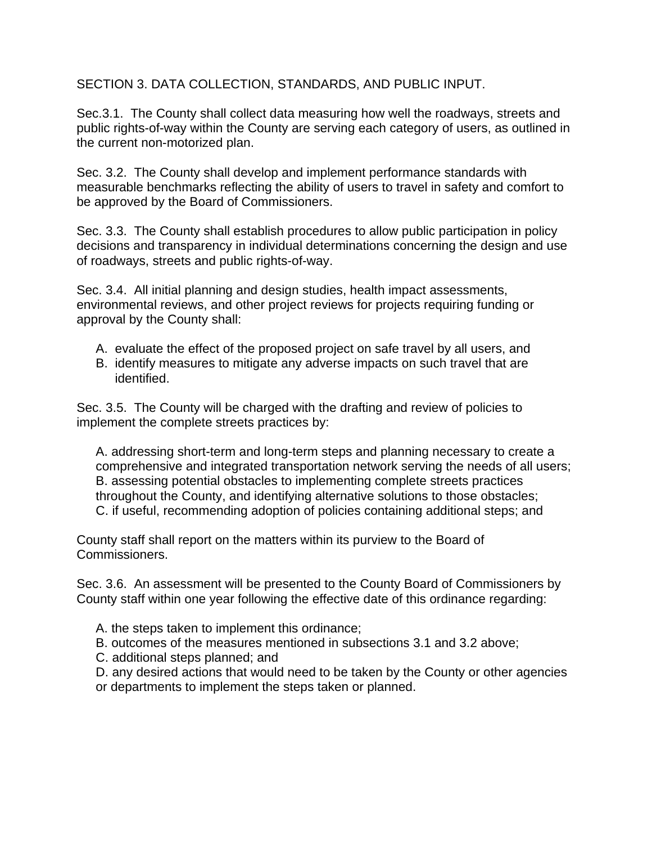SECTION 3. DATA COLLECTION, STANDARDS, AND PUBLIC INPUT.

Sec.3.1. The County shall collect data measuring how well the roadways, streets and public rights-of-way within the County are serving each category of users, as outlined in the current non-motorized plan.

Sec. 3.2. The County shall develop and implement performance standards with measurable benchmarks reflecting the ability of users to travel in safety and comfort to be approved by the Board of Commissioners.

Sec. 3.3. The County shall establish procedures to allow public participation in policy decisions and transparency in individual determinations concerning the design and use of roadways, streets and public rights-of-way.

Sec. 3.4. All initial planning and design studies, health impact assessments, environmental reviews, and other project reviews for projects requiring funding or approval by the County shall:

- A. evaluate the effect of the proposed project on safe travel by all users, and
- B. identify measures to mitigate any adverse impacts on such travel that are identified.

Sec. 3.5. The County will be charged with the drafting and review of policies to implement the complete streets practices by:

A. addressing short-term and long-term steps and planning necessary to create a comprehensive and integrated transportation network serving the needs of all users; B. assessing potential obstacles to implementing complete streets practices throughout the County, and identifying alternative solutions to those obstacles; C. if useful, recommending adoption of policies containing additional steps; and

County staff shall report on the matters within its purview to the Board of Commissioners.

Sec. 3.6. An assessment will be presented to the County Board of Commissioners by County staff within one year following the effective date of this ordinance regarding:

- A. the steps taken to implement this ordinance;
- B. outcomes of the measures mentioned in subsections 3.1 and 3.2 above;
- C. additional steps planned; and

D. any desired actions that would need to be taken by the County or other agencies or departments to implement the steps taken or planned.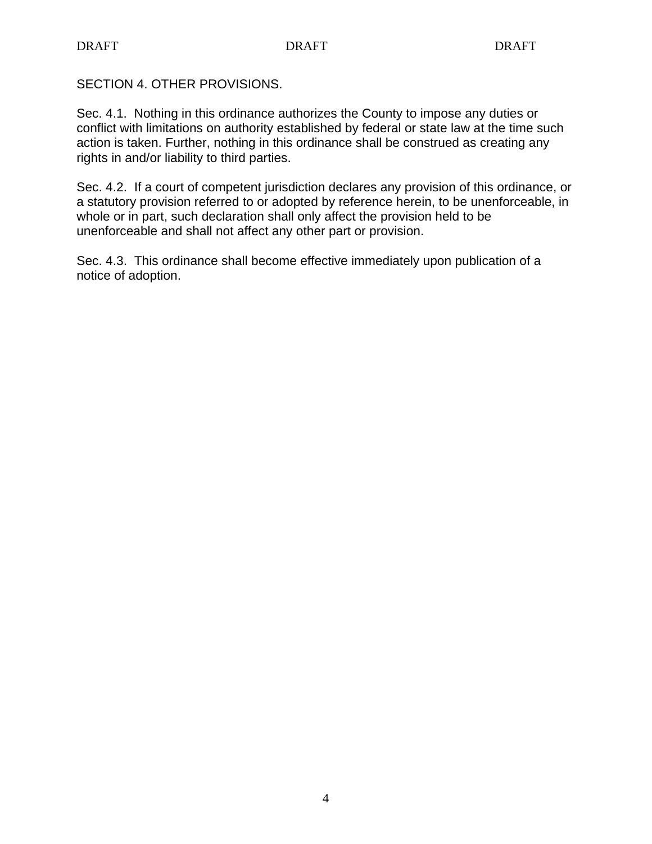SECTION 4. OTHER PROVISIONS.

Sec. 4.1. Nothing in this ordinance authorizes the County to impose any duties or conflict with limitations on authority established by federal or state law at the time such action is taken. Further, nothing in this ordinance shall be construed as creating any rights in and/or liability to third parties.

Sec. 4.2. If a court of competent jurisdiction declares any provision of this ordinance, or a statutory provision referred to or adopted by reference herein, to be unenforceable, in whole or in part, such declaration shall only affect the provision held to be unenforceable and shall not affect any other part or provision.

Sec. 4.3. This ordinance shall become effective immediately upon publication of a notice of adoption.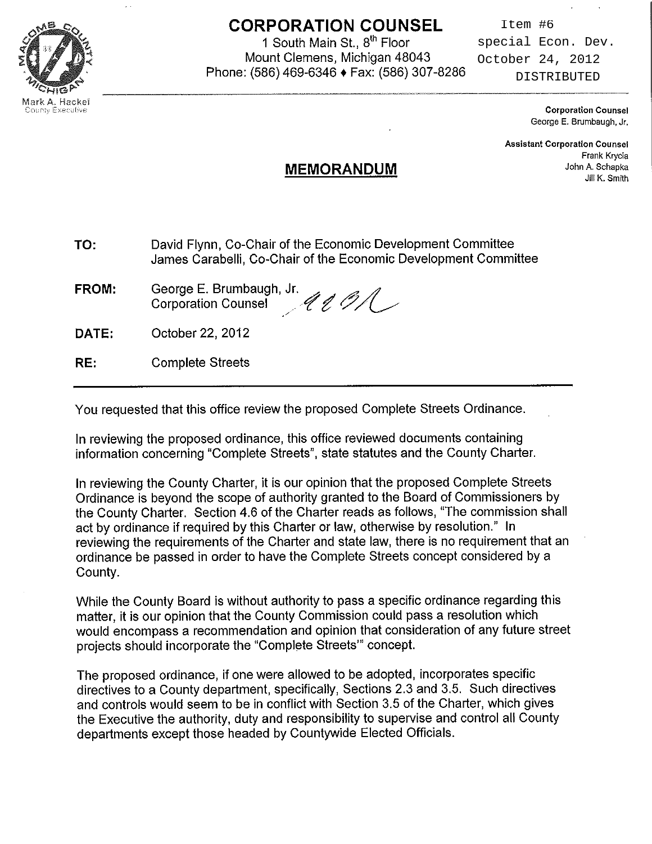

## **CORPORATION COUNSEL**

1 South Main St., 8<sup>th</sup> Floor Mount Clemens, Michigan 48043 Phone: (586) 469-6346 + Fax: (586) 307-8286

Item #6 special Econ. Dev. October 24, 2012 DISTRIBUTED

> **Corporation Counsel** George E. Brumbaugh, Jr.

**Assistant Corporation Counsel** Frank Krycia John A. Schapka Jill K. Smith

## **MEMORANDUM**

- TO: David Flynn, Co-Chair of the Economic Development Committee James Carabelli, Co-Chair of the Economic Development Committee
- George E. Brumbaugh, Jr. FROM:  $4001$ **Corporation Counsel**

DATE: October 22, 2012

**Complete Streets** RE:

You requested that this office review the proposed Complete Streets Ordinance.

In reviewing the proposed ordinance, this office reviewed documents containing information concerning "Complete Streets", state statutes and the County Charter.

In reviewing the County Charter, it is our opinion that the proposed Complete Streets Ordinance is beyond the scope of authority granted to the Board of Commissioners by the County Charter. Section 4.6 of the Charter reads as follows, "The commission shall act by ordinance if required by this Charter or law, otherwise by resolution." In reviewing the requirements of the Charter and state law, there is no requirement that an ordinance be passed in order to have the Complete Streets concept considered by a County.

While the County Board is without authority to pass a specific ordinance regarding this matter, it is our opinion that the County Commission could pass a resolution which would encompass a recommendation and opinion that consideration of any future street projects should incorporate the "Complete Streets" concept.

The proposed ordinance, if one were allowed to be adopted, incorporates specific directives to a County department, specifically, Sections 2.3 and 3.5. Such directives and controls would seem to be in conflict with Section 3.5 of the Charter, which gives the Executive the authority, duty and responsibility to supervise and control all County departments except those headed by Countywide Elected Officials.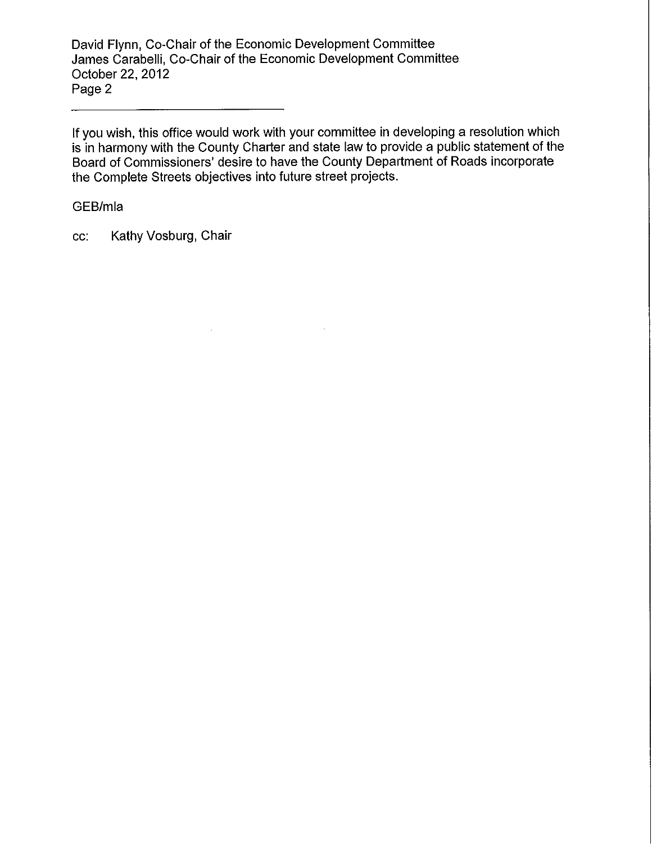David Flynn, Co-Chair of the Economic Development Committee James Carabelli, Co-Chair of the Economic Development Committee October 22, 2012 Page 2

If you wish, this office would work with your committee in developing a resolution which is in harmony with the County Charter and state law to provide a public statement of the Board of Commissioners' desire to have the County Department of Roads incorporate the Complete Streets objectives into future street projects.

 $\ddot{\phantom{a}}$ 

#### GEB/mla

Kathy Vosburg, Chair CC.

 $\mathcal{L}_{\mathcal{A}}$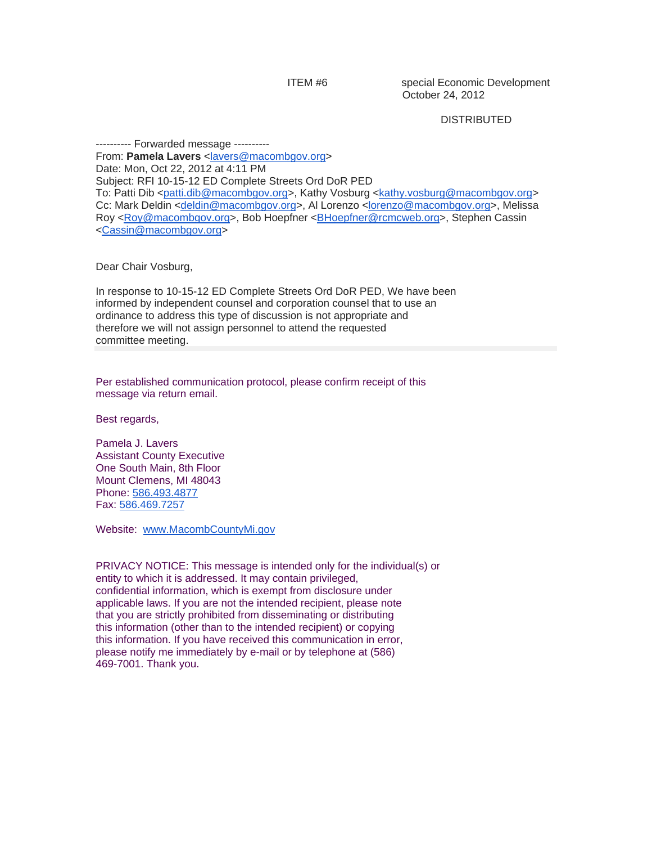ITEM #6 special Economic Development October 24, 2012

#### **DISTRIBUTED**

---------- Forwarded message --------- From: Pamela Lavers <[lavers@macombgov.org](mailto:lavers@macombgov.org)> Date: Mon, Oct 22, 2012 at 4:11 PM Subject: RFI 10-15-12 ED Complete Streets Ord DoR PED To: Patti Dib <[patti.dib@macombgov.org](mailto:patti.dib@macombgov.org)>, Kathy Vosburg [<kathy.vosburg@macombgov.org](mailto:kathy.vosburg@macombgov.org)> Cc: Mark Deldin <[deldin@macombgov.org](mailto:deldin@macombgov.org)>, Al Lorenzo [<lorenzo@macombgov.org>](mailto:lorenzo@macombgov.org), Melissa Roy [<Roy@macombgov.org](mailto:Roy@macombgov.org)>, Bob Hoepfner <[BHoepfner@rcmcweb.org>](mailto:BHoepfner@rcmcweb.org), Stephen Cassin <[Cassin@macombgov.org](mailto:Cassin@macombgov.org)>

Dear Chair Vosburg,

In response to 10-15-12 ED Complete Streets Ord DoR PED, We have been informed by independent counsel and corporation counsel that to use an ordinance to address this type of discussion is not appropriate and therefore we will not assign personnel to attend the requested committee meeting.

Per established communication protocol, please confirm receipt of this message via return email.

Best regards,

Pamela J. Lavers Assistant County Executive One South Main, 8th Floor Mount Clemens, MI 48043 Phone: 586.493.4877 Fax: 586.469.7257

Website: [www.MacombCountyMi.gov](http://www.macombcountymi.gov/)

PRIVACY NOTICE: This message is intended only for the individual(s) or entity to which it is addressed. It may contain privileged, confidential information, which is exempt from disclosure under applicable laws. If you are not the intended recipient, please note that you are strictly prohibited from disseminating or distributing this information (other than to the intended recipient) or copying this information. If you have received this communication in error, please notify me immediately by e-mail or by telephone at (586) 469-7001. Thank you.